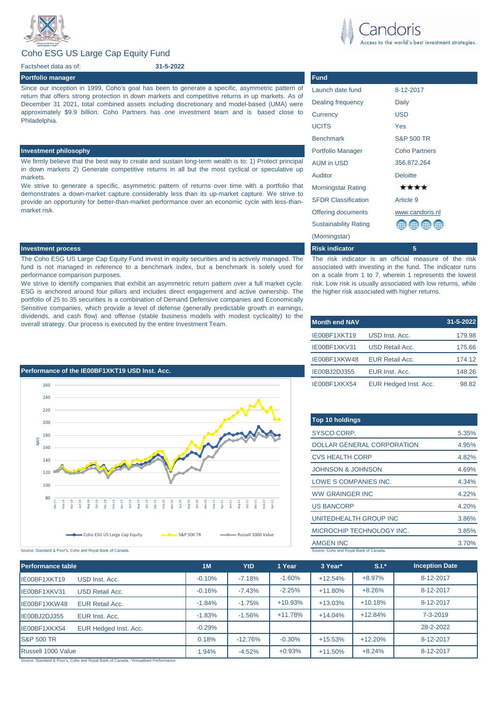

# Coho ESG US Large Cap Equity Fund

Factsheet data as of:

## **Portfolio manager Fund**

Since our inception in 1999, Coho's goal has been to generate a specific, asymmetric pattern of return that offers strong protection in down markets and competitive returns in up markets. As of December 31 2021, total combined assets including discretionary and model-based (UMA) were approximately \$9.9 billion. Coho Partners has one investment team and is based close to Philadelphia.

**31-5-2022**

We firmly believe that the best way to create and sustain long-term wealth is to: 1) Protect principal in down markets 2) Generate competitive returns in all but the most cyclical or speculative up markets.

We strive to generate a specific, asymmetric pattern of returns over time with a portfolio that demonstrates a down-market capture considerably less than its up-market capture. We strive to provide an opportunity for better-than-market performance over an economic cycle with less-thanmarket risk.

## **Investment process Risk indicator 5**

The Coho ESG US Large Cap Equity Fund invest in equity securities and is actively managed. The fund is not managed in reference to a benchmark index, but a benchmark is solely used for performance comparison purposes.

We strive to identify companies that exhibit an asymmetric return pattern over a full market cycle. ESG is anchored around four pillars and includes direct engagement and active ownership. The portfolio of 25 to 35 securities is a combination of Demand Defensive companies and Economically Sensitive companies, which provide a level of defense (generally predictable growth in earnings, dividends, and cash flow) and offense (stable business models with modest cyclicality) to the overall strategy. Our process is executed by the entire Investment Team.



the world's best investment strategies.

# Launch date fund 8-12-2017 Dealing frequency Daily Currency USD UCITS Yes Benchmark S&P 500 TR **Investment philosophy Properties and Coho Partners and Coho Partners and Properties and Portfolio Manager Coho Partners** AUM in USD 356,872,264 Auditor **Deloitte** Morningstar Rating \*\*\*\* SFDR Classification Article 9 Offering documents [www.candoris.nl](http://www.candoris.nl/) Sustainability Rating (Morningstar)

The risk indicator is an official measure of the risk associated with investing in the fund. The indicator runs on a scale from 1 to 7, wherein 1 represents the lowest risk. Low risk is usually associated with low returns, while the higher risk associated with higher returns.

| <b>Month end NAV</b> |                        | 31-5-2022 |
|----------------------|------------------------|-----------|
| IE00BF1XKT19         | USD Inst. Acc.         | 179.98    |
| IE00BF1XKV31         | <b>USD Retail Acc.</b> | 175.66    |
| IE00BF1XKW48         | <b>EUR Retail Acc.</b> | 174.12    |
| IE00BJ2DJ355         | EUR Inst. Acc.         | 148.26    |
| IE00BF1XKX54         | EUR Hedged Inst. Acc.  | 98.82     |

| Top 10 holdings                        |       |
|----------------------------------------|-------|
| SYSCO CORP.                            | 5.35% |
| <b>DOLLAR GENERAL CORPORATION</b>      | 4.95% |
| <b>CVS HEALTH CORP</b>                 | 4.82% |
| <b>JOHNSON &amp; JOHNSON</b>           | 4.69% |
| LOWE S COMPANIES INC.                  | 4.34% |
| <b>WW GRAINGER INC</b>                 | 4.22% |
| <b>US BANCORP</b>                      | 4.20% |
| UNITEDHEALTH GROUP INC                 | 3.86% |
| MICROCHIP TECHNOLOGY INC.              | 3.85% |
| <b>AMGEN INC</b>                       | 3.70% |
| Source: Coho and Roval Bank of Canada. |       |

Source: Standard & Poor's, Coho and Royal Bank of Canada.

| 1M       | YtD       | 1 Year    | 3 Year*    | $S.I.*$   | <b>Inception Date</b> |
|----------|-----------|-----------|------------|-----------|-----------------------|
| $-0.10%$ | $-7.18%$  | $-1.60%$  | $+12.54%$  | $+8.97%$  | 8-12-2017             |
| $-0.16%$ | $-7.43%$  | $-2.25%$  | $+11.80%$  | $+8.26%$  | 8-12-2017             |
| $-1.84%$ | $-1.75%$  | $+10.93%$ | $+13.03%$  | $+10.18%$ | 8-12-2017             |
| $-1.83%$ | $-1.56%$  | $+11.78%$ | $+14.04%$  | $+12.84%$ | $7 - 3 - 2019$        |
| $-0.29%$ |           |           |            |           | 28-2-2022             |
| 0.18%    | $-12.76%$ | $-0.30%$  | $+15.53%$  | $+12.20%$ | 8-12-2017             |
| 1.94%    | $-4.52%$  | $+0.93%$  | $+11.50\%$ | $+8.24%$  | 8-12-2017             |
|          |           |           |            |           |                       |